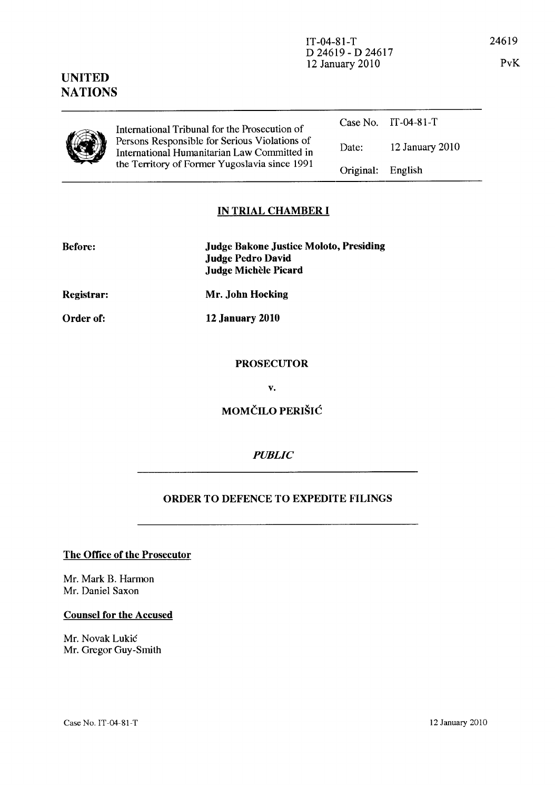#### International Tribunal for the Prosecution of Persons Responsible for Serious Violations of International Humanitarian Law Committed in the Territory of Former Yugoslavia since 1991 Case No. IT-04-81-T Date: Original: 12 January 2010 English

# IN TRIAL CHAMBER **I**

| <b>Before:</b> | <b>Judge Bakone Justice Moloto, Presiding</b><br><b>Judge Pedro David</b><br>Judge Michèle Picard |
|----------------|---------------------------------------------------------------------------------------------------|
| Registrar:     | Mr. John Hocking                                                                                  |

12 January 2010

Order of:

UNITED NATIONS

### PROSECUTOR

v.

MOMČILO PERIŠIĆ

# *PUBLIC*

# ORDER TO DEFENCE TO EXPEDITE FILINGS

#### The Office of the Prosecutor

Mr. Mark B. Harmon Mr. Daniel Saxon

#### Counsel for the Accused

Mr. Novak Lukic Mr. Gregor Guy-Smith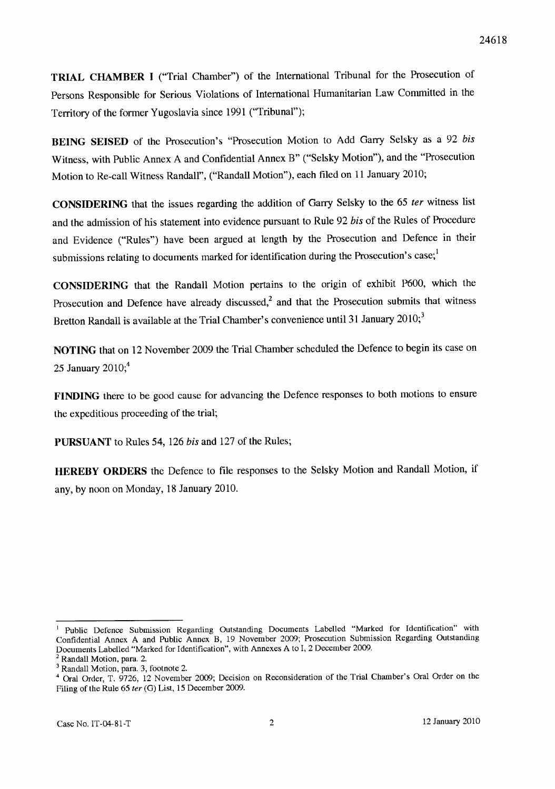**TRIAL CHAMBER I** ("Trial Chamber") of the International Tribunal for the Prosecution of Persons Responsible for Serious Violations of International Humanitarian Law Committed in the Territory of the former Yugoslavia since 1991 ("Tribunal");

**BEING SEISED** of the Prosecution's "Prosecution Motion to Add Garry Selsky as a 92 *his*  Witness, with Public Annex A and Confidential Annex B" ("Selsky Motion"), and the "Prosecution Motion to Re-call Witness Randall", ("Randall Motion"), each filed on 11 January 2010;

**CONSIDERING** that the issues regarding the addition of Garry Selsky to the 65 fer witness list and the admission of his statement into evidence pursuant to Rule 92 *his* of the Rules of Procedure and Evidence ("Rules") have been argued at length by the Prosecution and Defence in their submissions relating to documents marked for identification during the Prosecution's case; $\frac{1}{1}$ 

**CONSIDERING** that the Randall Motion pertains to the origin of exhibit P600, which the Prosecution and Defence have already discussed,<sup>2</sup> and that the Prosecution submits that witness Bretton Randall is available at the Trial Chamber's convenience until 31 January  $2010$ ;

**NOTING** that on 12 November 2009 the Trial Chamber scheduled the Defence to begin its case on 25 January 2010;<sup>4</sup>

**FINDING** there to be good cause for advancing the Defence responses to both motions to ensure the expeditious proceeding of the trial;

**PURSUANT** to Rules 54, 126 *his* and 127 of the Rules;

**HEREBY ORDERS** the Defence to file responses to the Selsky Motion and Randall Motion, if any, by noon on Monday, 18 January 2010.

Public Defence Submission Regarding Outstanding Documents Labelled "Marked for Identification" with Confidential Annex A and Public Annex B, 19 November 2009; Prosecution Submission Regarding Outstanding Documents Labelled "Marked for Identification", with Annexes A to 1,2 December 2009.

<sup>2</sup> Randall Motion, para. 2.

<sup>3</sup> Randall Motion, para. 3, footnote 2.

<sup>4</sup> Oral Order, T. 9726, 12 November 2009; Decision on Reconsideration of the Trial Chamber's Oral Order on the Filing of the Rule 65 ter (G) List, 15 December 2009.